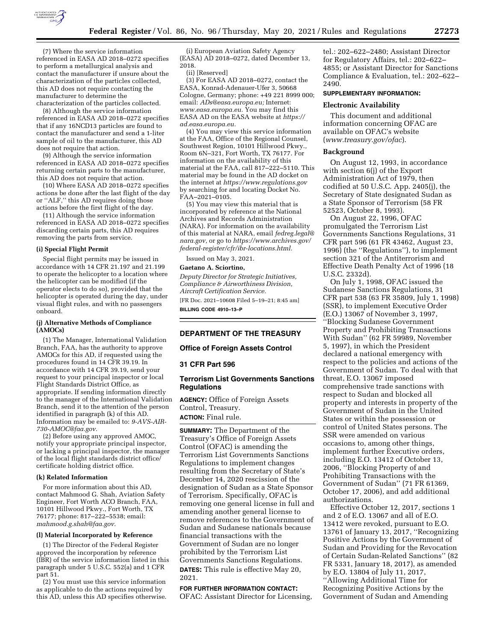

(7) Where the service information referenced in EASA AD 2018–0272 specifies to perform a metallurgical analysis and contact the manufacturer if unsure about the characterization of the particles collected, this AD does not require contacting the manufacturer to determine the characterization of the particles collected.

(8) Although the service information referenced in EASA AD 2018–0272 specifies that if any 16NCD13 particles are found to contact the manufacturer and send a 1-liter sample of oil to the manufacturer, this AD does not require that action.

(9) Although the service information referenced in EASA AD 2018–0272 specifies returning certain parts to the manufacturer, this AD does not require that action.

(10) Where EASA AD 2018–0272 specifies actions be done after the last flight of the day or ''ALF,'' this AD requires doing those actions before the first flight of the day.

(11) Although the service information referenced in EASA AD 2018–0272 specifies discarding certain parts, this AD requires removing the parts from service.

#### **(i) Special Flight Permit**

Special flight permits may be issued in accordance with 14 CFR 21.197 and 21.199 to operate the helicopter to a location where the helicopter can be modified (if the operator elects to do so), provided that the helicopter is operated during the day, under visual flight rules, and with no passengers onboard.

#### **(j) Alternative Methods of Compliance (AMOCs)**

(1) The Manager, International Validation Branch, FAA, has the authority to approve AMOCs for this AD, if requested using the procedures found in 14 CFR 39.19. In accordance with 14 CFR 39.19, send your request to your principal inspector or local Flight Standards District Office, as appropriate. If sending information directly to the manager of the International Validation Branch, send it to the attention of the person identified in paragraph (k) of this AD. Information may be emailed to: *[9-AVS-AIR-](mailto:9-AVS-AIR-730-AMOC@faa.gov)[730-AMOC@faa.gov.](mailto:9-AVS-AIR-730-AMOC@faa.gov)* 

(2) Before using any approved AMOC, notify your appropriate principal inspector, or lacking a principal inspector, the manager of the local flight standards district office/ certificate holding district office.

### **(k) Related Information**

For more information about this AD, contact Mahmood G. Shah, Aviation Safety Engineer, Fort Worth ACO Branch, FAA, 10101 Hillwood Pkwy., Fort Worth, TX 76177; phone: 817-222-5538; email: *[mahmood.g.shah@faa.gov.](mailto:mahmood.g.shah@faa.gov)* 

### **(l) Material Incorporated by Reference**

(1) The Director of the Federal Register approved the incorporation by reference (IBR) of the service information listed in this paragraph under 5 U.S.C. 552(a) and 1 CFR part 51.

(2) You must use this service information as applicable to do the actions required by this AD, unless this AD specifies otherwise.

(i) European Aviation Safety Agency (EASA) AD 2018–0272, dated December 13, 2018.

(ii) [Reserved]

(3) For EASA AD 2018–0272, contact the EASA, Konrad-Adenauer-Ufer 3, 50668 Cologne, Germany; phone: +49 221 8999 000; email: *[ADs@easa.europa.eu;](mailto:ADs@easa.europa.eu)* Internet: *[www.easa.europa.eu.](http://www.easa.europa.eu)* You may find this EASA AD on the EASA website at *[https://](https://ad.easa.europa.eu) [ad.easa.europa.eu.](https://ad.easa.europa.eu)* 

(4) You may view this service information at the FAA, Office of the Regional Counsel, Southwest Region, 10101 Hillwood Pkwy., Room 6N–321, Fort Worth, TX 76177. For information on the availability of this material at the FAA, call 817–222–5110. This material may be found in the AD docket on the internet at *<https://www.regulations.gov>*  by searching for and locating Docket No. FAA–2021–0105.

(5) You may view this material that is incorporated by reference at the National Archives and Records Administration (NARA). For information on the availability of this material at NARA, email *[fedreg.legal@](mailto:fedreg.legal@nara.gov) [nara.gov,](mailto:fedreg.legal@nara.gov)* or go to *[https://www.archives.gov/](https://www.archives.gov/federal-register/cfr/ibr-locations.html) [federal-register/cfr/ibr-locations.html.](https://www.archives.gov/federal-register/cfr/ibr-locations.html)* 

Issued on May 3, 2021.

**Gaetano A. Sciortino,** 

*Deputy Director for Strategic Initiatives, Compliance & Airworthiness Division, Aircraft Certification Service.*  [FR Doc. 2021–10608 Filed 5–19–21; 8:45 am] **BILLING CODE 4910–13–P** 

# **DEPARTMENT OF THE TREASURY**

## **Office of Foreign Assets Control**

### **31 CFR Part 596**

# **Terrorism List Governments Sanctions Regulations**

**AGENCY:** Office of Foreign Assets Control, Treasury. **ACTION:** Final rule.

**SUMMARY:** The Department of the Treasury's Office of Foreign Assets Control (OFAC) is amending the Terrorism List Governments Sanctions Regulations to implement changes resulting from the Secretary of State's December 14, 2020 rescission of the designation of Sudan as a State Sponsor of Terrorism. Specifically, OFAC is removing one general license in full and amending another general license to remove references to the Government of Sudan and Sudanese nationals because financial transactions with the Government of Sudan are no longer prohibited by the Terrorism List Governments Sanctions Regulations. **DATES:** This rule is effective May 20, 2021.

# **FOR FURTHER INFORMATION CONTACT:**

OFAC: Assistant Director for Licensing,

tel.: 202–622–2480; Assistant Director for Regulatory Affairs, tel.: 202–622– 4855; or Assistant Director for Sanctions Compliance & Evaluation, tel.: 202–622– 2490.

### **SUPPLEMENTARY INFORMATION:**

### **Electronic Availability**

This document and additional information concerning OFAC are available on OFAC's website (*[www.treasury.gov/ofac](http://www.treasury.gov/ofac)*).

## **Background**

On August 12, 1993, in accordance with section 6(j) of the Export Administration Act of 1979, then codified at 50 U.S.C. App. 2405(j), the Secretary of State designated Sudan as a State Sponsor of Terrorism (58 FR 52523, October 8, 1993).

On August 22, 1996, OFAC promulgated the Terrorism List Governments Sanctions Regulations, 31 CFR part 596 (61 FR 43462, August 23, 1996) (the ''Regulations''), to implement section 321 of the Antiterrorism and Effective Death Penalty Act of 1996 (18 U.S.C. 2332d).

On July 1, 1998, OFAC issued the Sudanese Sanctions Regulations, 31 CFR part 538 (63 FR 35809, July 1, 1998) (SSR), to implement Executive Order (E.O.) 13067 of November 3, 1997,

''Blocking Sudanese Government Property and Prohibiting Transactions With Sudan'' (62 FR 59989, November 5, 1997), in which the President declared a national emergency with respect to the policies and actions of the Government of Sudan. To deal with that threat, E.O. 13067 imposed comprehensive trade sanctions with respect to Sudan and blocked all property and interests in property of the Government of Sudan in the United States or within the possession or control of United States persons. The SSR were amended on various occasions to, among other things, implement further Executive orders, including E.O. 13412 of October 13, 2006, ''Blocking Property of and Prohibiting Transactions with the Government of Sudan'' (71 FR 61369, October 17, 2006), and add additional authorizations.

Effective October 12, 2017, sections 1 and 2 of E.O. 13067 and all of E.O. 13412 were revoked, pursuant to E.O. 13761 of January 13, 2017, ''Recognizing Positive Actions by the Government of Sudan and Providing for the Revocation of Certain Sudan-Related Sanctions'' (82 FR 5331, January 18, 2017), as amended by E.O. 13804 of July 11, 2017, ''Allowing Additional Time for Recognizing Positive Actions by the Government of Sudan and Amending